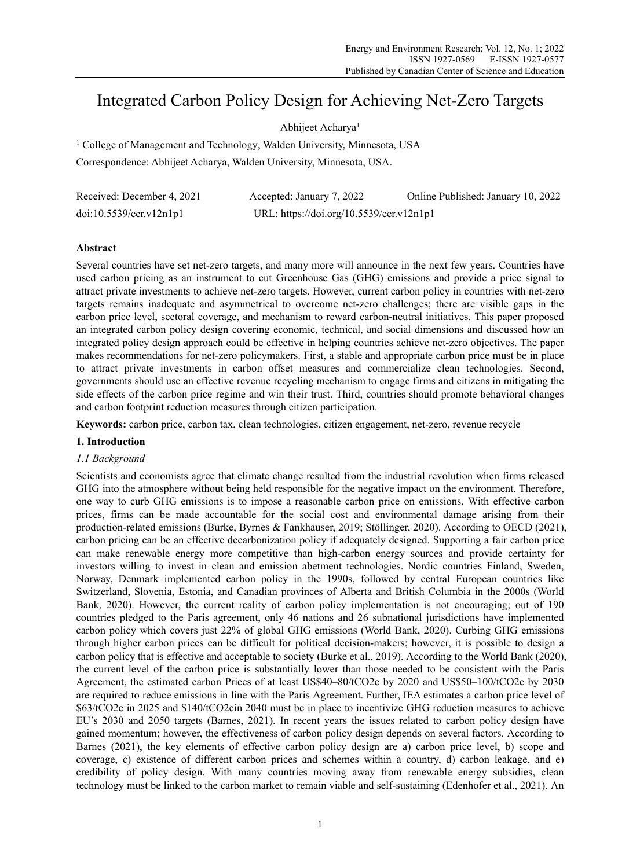# Integrated Carbon Policy Design for Achieving Net-Zero Targets

Abhijeet Acharya1

<sup>1</sup> College of Management and Technology, Walden University, Minnesota, USA

Correspondence: Abhijeet Acharya, Walden University, Minnesota, USA.

| Received: December 4, 2021 | Accepted: January 7, 2022                | Online Published: January 10, 2022 |
|----------------------------|------------------------------------------|------------------------------------|
| doi:10.5539/eer.v12n1p1    | URL: https://doi.org/10.5539/eer.v12n1p1 |                                    |

# **Abstract**

Several countries have set net-zero targets, and many more will announce in the next few years. Countries have used carbon pricing as an instrument to cut Greenhouse Gas (GHG) emissions and provide a price signal to attract private investments to achieve net-zero targets. However, current carbon policy in countries with net-zero targets remains inadequate and asymmetrical to overcome net-zero challenges; there are visible gaps in the carbon price level, sectoral coverage, and mechanism to reward carbon-neutral initiatives. This paper proposed an integrated carbon policy design covering economic, technical, and social dimensions and discussed how an integrated policy design approach could be effective in helping countries achieve net-zero objectives. The paper makes recommendations for net-zero policymakers. First, a stable and appropriate carbon price must be in place to attract private investments in carbon offset measures and commercialize clean technologies. Second, governments should use an effective revenue recycling mechanism to engage firms and citizens in mitigating the side effects of the carbon price regime and win their trust. Third, countries should promote behavioral changes and carbon footprint reduction measures through citizen participation.

**Keywords:** carbon price, carbon tax, clean technologies, citizen engagement, net-zero, revenue recycle

# **1. Introduction**

# *1.1 Background*

Scientists and economists agree that climate change resulted from the industrial revolution when firms released GHG into the atmosphere without being held responsible for the negative impact on the environment. Therefore, one way to curb GHG emissions is to impose a reasonable carbon price on emissions. With effective carbon prices, firms can be made accountable for the social cost and environmental damage arising from their production-related emissions (Burke, Byrnes & Fankhauser, 2019; Stöllinger, 2020). According to OECD (2021), carbon pricing can be an effective decarbonization policy if adequately designed. Supporting a fair carbon price can make renewable energy more competitive than high-carbon energy sources and provide certainty for investors willing to invest in clean and emission abetment technologies. Nordic countries Finland, Sweden, Norway, Denmark implemented carbon policy in the 1990s, followed by central European countries like Switzerland, Slovenia, Estonia, and Canadian provinces of Alberta and British Columbia in the 2000s (World Bank, 2020). However, the current reality of carbon policy implementation is not encouraging; out of 190 countries pledged to the Paris agreement, only 46 nations and 26 subnational jurisdictions have implemented carbon policy which covers just 22% of global GHG emissions (World Bank, 2020). Curbing GHG emissions through higher carbon prices can be difficult for political decision-makers; however, it is possible to design a carbon policy that is effective and acceptable to society (Burke et al., 2019). According to the World Bank (2020), the current level of the carbon price is substantially lower than those needed to be consistent with the Paris Agreement, the estimated carbon Prices of at least US\$40–80/tCO2e by 2020 and US\$50–100/tCO2e by 2030 are required to reduce emissions in line with the Paris Agreement. Further, IEA estimates a carbon price level of \$63/tCO2e in 2025 and \$140/tCO2ein 2040 must be in place to incentivize GHG reduction measures to achieve EU's 2030 and 2050 targets (Barnes, 2021). In recent years the issues related to carbon policy design have gained momentum; however, the effectiveness of carbon policy design depends on several factors. According to Barnes (2021), the key elements of effective carbon policy design are a) carbon price level, b) scope and coverage, c) existence of different carbon prices and schemes within a country, d) carbon leakage, and e) credibility of policy design. With many countries moving away from renewable energy subsidies, clean technology must be linked to the carbon market to remain viable and self-sustaining (Edenhofer et al., 2021). An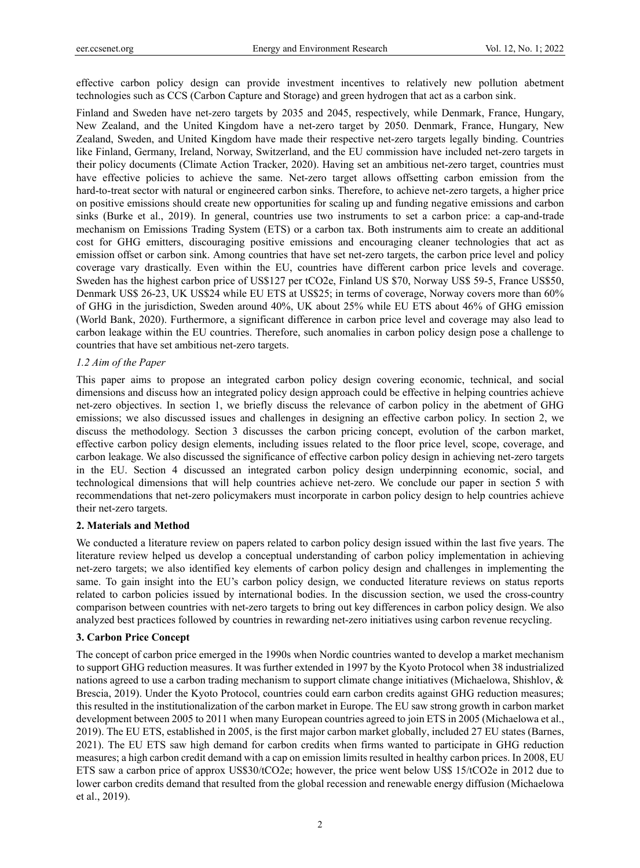effective carbon policy design can provide investment incentives to relatively new pollution abetment technologies such as CCS (Carbon Capture and Storage) and green hydrogen that act as a carbon sink.

Finland and Sweden have net-zero targets by 2035 and 2045, respectively, while Denmark, France, Hungary, New Zealand, and the United Kingdom have a net-zero target by 2050. Denmark, France, Hungary, New Zealand, Sweden, and United Kingdom have made their respective net-zero targets legally binding. Countries like Finland, Germany, Ireland, Norway, Switzerland, and the EU commission have included net-zero targets in their policy documents (Climate Action Tracker, 2020). Having set an ambitious net-zero target, countries must have effective policies to achieve the same. Net-zero target allows offsetting carbon emission from the hard-to-treat sector with natural or engineered carbon sinks. Therefore, to achieve net-zero targets, a higher price on positive emissions should create new opportunities for scaling up and funding negative emissions and carbon sinks (Burke et al., 2019). In general, countries use two instruments to set a carbon price: a cap-and-trade mechanism on Emissions Trading System (ETS) or a carbon tax. Both instruments aim to create an additional cost for GHG emitters, discouraging positive emissions and encouraging cleaner technologies that act as emission offset or carbon sink. Among countries that have set net-zero targets, the carbon price level and policy coverage vary drastically. Even within the EU, countries have different carbon price levels and coverage. Sweden has the highest carbon price of US\$127 per tCO2e, Finland US \$70, Norway US\$ 59-5, France US\$50, Denmark US\$ 26-23, UK US\$24 while EU ETS at US\$25; in terms of coverage, Norway covers more than 60% of GHG in the jurisdiction, Sweden around 40%, UK about 25% while EU ETS about 46% of GHG emission (World Bank, 2020). Furthermore, a significant difference in carbon price level and coverage may also lead to carbon leakage within the EU countries. Therefore, such anomalies in carbon policy design pose a challenge to countries that have set ambitious net-zero targets.

# *1.2 Aim of the Paper*

This paper aims to propose an integrated carbon policy design covering economic, technical, and social dimensions and discuss how an integrated policy design approach could be effective in helping countries achieve net-zero objectives. In section 1, we briefly discuss the relevance of carbon policy in the abetment of GHG emissions; we also discussed issues and challenges in designing an effective carbon policy. In section 2, we discuss the methodology. Section 3 discusses the carbon pricing concept, evolution of the carbon market, effective carbon policy design elements, including issues related to the floor price level, scope, coverage, and carbon leakage. We also discussed the significance of effective carbon policy design in achieving net-zero targets in the EU. Section 4 discussed an integrated carbon policy design underpinning economic, social, and technological dimensions that will help countries achieve net-zero. We conclude our paper in section 5 with recommendations that net-zero policymakers must incorporate in carbon policy design to help countries achieve their net-zero targets.

# **2. Materials and Method**

We conducted a literature review on papers related to carbon policy design issued within the last five years. The literature review helped us develop a conceptual understanding of carbon policy implementation in achieving net-zero targets; we also identified key elements of carbon policy design and challenges in implementing the same. To gain insight into the EU's carbon policy design, we conducted literature reviews on status reports related to carbon policies issued by international bodies. In the discussion section, we used the cross-country comparison between countries with net-zero targets to bring out key differences in carbon policy design. We also analyzed best practices followed by countries in rewarding net-zero initiatives using carbon revenue recycling.

# **3. Carbon Price Concept**

The concept of carbon price emerged in the 1990s when Nordic countries wanted to develop a market mechanism to support GHG reduction measures. It was further extended in 1997 by the Kyoto Protocol when 38 industrialized nations agreed to use a carbon trading mechanism to support climate change initiatives (Michaelowa, Shishlov, & Brescia, 2019). Under the Kyoto Protocol, countries could earn carbon credits against GHG reduction measures; this resulted in the institutionalization of the carbon market in Europe. The EU saw strong growth in carbon market development between 2005 to 2011 when many European countries agreed to join ETS in 2005 (Michaelowa et al., 2019). The EU ETS, established in 2005, is the first major carbon market globally, included 27 EU states (Barnes, 2021). The EU ETS saw high demand for carbon credits when firms wanted to participate in GHG reduction measures; a high carbon credit demand with a cap on emission limits resulted in healthy carbon prices. In 2008, EU ETS saw a carbon price of approx US\$30/tCO2e; however, the price went below US\$ 15/tCO2e in 2012 due to lower carbon credits demand that resulted from the global recession and renewable energy diffusion (Michaelowa et al., 2019).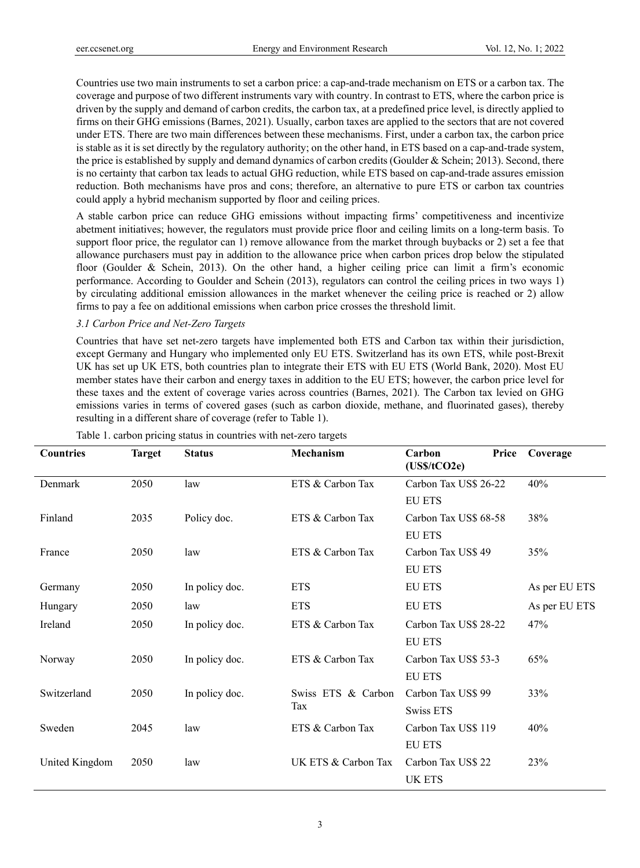Countries use two main instruments to set a carbon price: a cap-and-trade mechanism on ETS or a carbon tax. The coverage and purpose of two different instruments vary with country. In contrast to ETS, where the carbon price is driven by the supply and demand of carbon credits, the carbon tax, at a predefined price level, is directly applied to firms on their GHG emissions (Barnes, 2021). Usually, carbon taxes are applied to the sectors that are not covered under ETS. There are two main differences between these mechanisms. First, under a carbon tax, the carbon price is stable as it is set directly by the regulatory authority; on the other hand, in ETS based on a cap-and-trade system, the price is established by supply and demand dynamics of carbon credits (Goulder & Schein; 2013). Second, there is no certainty that carbon tax leads to actual GHG reduction, while ETS based on cap-and-trade assures emission reduction. Both mechanisms have pros and cons; therefore, an alternative to pure ETS or carbon tax countries could apply a hybrid mechanism supported by floor and ceiling prices.

A stable carbon price can reduce GHG emissions without impacting firms' competitiveness and incentivize abetment initiatives; however, the regulators must provide price floor and ceiling limits on a long-term basis. To support floor price, the regulator can 1) remove allowance from the market through buybacks or 2) set a fee that allowance purchasers must pay in addition to the allowance price when carbon prices drop below the stipulated floor (Goulder & Schein, 2013). On the other hand, a higher ceiling price can limit a firm's economic performance. According to Goulder and Schein (2013), regulators can control the ceiling prices in two ways 1) by circulating additional emission allowances in the market whenever the ceiling price is reached or 2) allow firms to pay a fee on additional emissions when carbon price crosses the threshold limit.

*3.1 Carbon Price and Net-Zero Targets*

Countries that have set net-zero targets have implemented both ETS and Carbon tax within their jurisdiction, except Germany and Hungary who implemented only EU ETS. Switzerland has its own ETS, while post-Brexit UK has set up UK ETS, both countries plan to integrate their ETS with EU ETS (World Bank, 2020). Most EU member states have their carbon and energy taxes in addition to the EU ETS; however, the carbon price level for these taxes and the extent of coverage varies across countries (Barnes, 2021). The Carbon tax levied on GHG emissions varies in terms of covered gases (such as carbon dioxide, methane, and fluorinated gases), thereby resulting in a different share of coverage (refer to Table 1).

| <b>Countries</b> | <b>Target</b> | <b>Status</b>  | Mechanism                 | Carbon<br>Price<br>$(US\frac{5}{2}tCO2e)$ | Coverage      |
|------------------|---------------|----------------|---------------------------|-------------------------------------------|---------------|
| Denmark          | 2050          | law            | ETS & Carbon Tax          | Carbon Tax US\$ 26-22                     | 40%           |
|                  |               |                |                           | <b>EU ETS</b>                             |               |
| Finland          | 2035          | Policy doc.    | ETS & Carbon Tax          | Carbon Tax US\$ 68-58                     | 38%           |
|                  |               |                |                           | <b>EU ETS</b>                             |               |
| France           | 2050          | law            | ETS & Carbon Tax          | Carbon Tax US\$ 49                        | 35%           |
|                  |               |                |                           | <b>EU ETS</b>                             |               |
| Germany          | 2050          | In policy doc. | <b>ETS</b>                | <b>EU ETS</b>                             | As per EU ETS |
| Hungary          | 2050          | law            | <b>ETS</b>                | <b>EU ETS</b>                             | As per EU ETS |
| Ireland          | 2050          | In policy doc. | ETS & Carbon Tax          | Carbon Tax US\$ 28-22                     | 47%           |
|                  |               |                |                           | <b>EU ETS</b>                             |               |
| Norway           | 2050          | In policy doc. | ETS & Carbon Tax          | Carbon Tax US\$ 53-3                      | 65%           |
|                  |               |                |                           | <b>EU ETS</b>                             |               |
| Switzerland      | 2050          | In policy doc. | Swiss ETS & Carbon<br>Tax | Carbon Tax US\$ 99                        | 33%           |
|                  |               |                |                           | <b>Swiss ETS</b>                          |               |
| Sweden           | 2045          | law            | ETS & Carbon Tax          | Carbon Tax US\$ 119                       | 40%           |
|                  |               |                |                           | <b>EU ETS</b>                             |               |
| United Kingdom   | 2050          | law            | UK ETS & Carbon Tax       | Carbon Tax US\$ 22                        | 23%           |
|                  |               |                |                           | <b>UK ETS</b>                             |               |

Table 1. carbon pricing status in countries with net-zero targets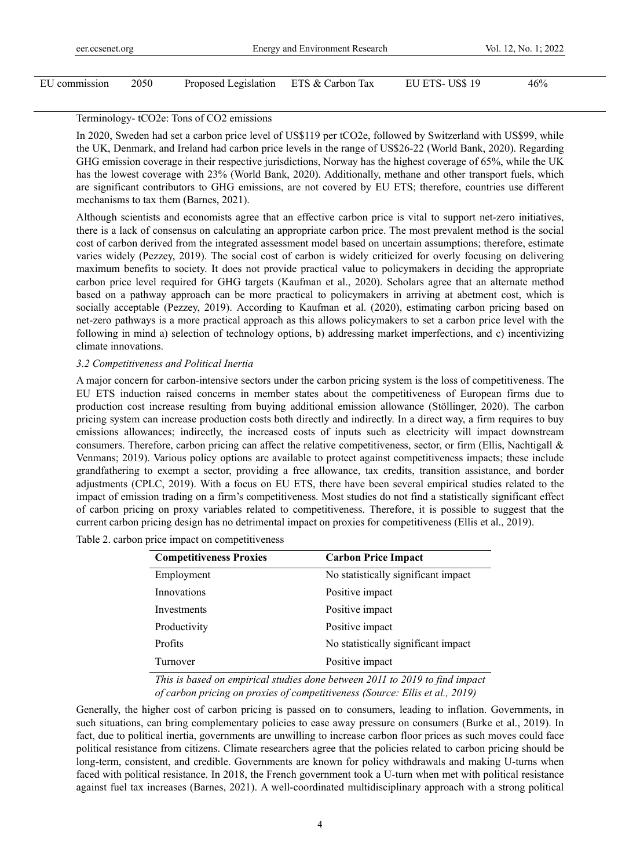EU commission 2050 Proposed Legislation ETS & Carbon Tax EU ETS- US\$ 19 46%

## Terminology- tCO2e: Tons of CO2 emissions

In 2020, Sweden had set a carbon price level of US\$119 per tCO2e, followed by Switzerland with US\$99, while the UK, Denmark, and Ireland had carbon price levels in the range of US\$26-22 (World Bank, 2020). Regarding GHG emission coverage in their respective jurisdictions, Norway has the highest coverage of 65%, while the UK has the lowest coverage with 23% (World Bank, 2020). Additionally, methane and other transport fuels, which are significant contributors to GHG emissions, are not covered by EU ETS; therefore, countries use different mechanisms to tax them (Barnes, 2021).

Although scientists and economists agree that an effective carbon price is vital to support net-zero initiatives, there is a lack of consensus on calculating an appropriate carbon price. The most prevalent method is the social cost of carbon derived from the integrated assessment model based on uncertain assumptions; therefore, estimate varies widely (Pezzey, 2019). The social cost of carbon is widely criticized for overly focusing on delivering maximum benefits to society. It does not provide practical value to policymakers in deciding the appropriate carbon price level required for GHG targets (Kaufman et al., 2020). Scholars agree that an alternate method based on a pathway approach can be more practical to policymakers in arriving at abetment cost, which is socially acceptable (Pezzey, 2019). According to Kaufman et al. (2020), estimating carbon pricing based on net-zero pathways is a more practical approach as this allows policymakers to set a carbon price level with the following in mind a) selection of technology options, b) addressing market imperfections, and c) incentivizing climate innovations.

# *3.2 Competitiveness and Political Inertia*

A major concern for carbon-intensive sectors under the carbon pricing system is the loss of competitiveness. The EU ETS induction raised concerns in member states about the competitiveness of European firms due to production cost increase resulting from buying additional emission allowance (Stöllinger, 2020). The carbon pricing system can increase production costs both directly and indirectly. In a direct way, a firm requires to buy emissions allowances; indirectly, the increased costs of inputs such as electricity will impact downstream consumers. Therefore, carbon pricing can affect the relative competitiveness, sector, or firm (Ellis, Nachtigall  $\&$ Venmans; 2019). Various policy options are available to protect against competitiveness impacts; these include grandfathering to exempt a sector, providing a free allowance, tax credits, transition assistance, and border adjustments (CPLC, 2019). With a focus on EU ETS, there have been several empirical studies related to the impact of emission trading on a firm's competitiveness. Most studies do not find a statistically significant effect of carbon pricing on proxy variables related to competitiveness. Therefore, it is possible to suggest that the current carbon pricing design has no detrimental impact on proxies for competitiveness (Ellis et al., 2019).

Table 2. carbon price impact on competitiveness

| <b>Competitiveness Proxies</b> | <b>Carbon Price Impact</b>          |
|--------------------------------|-------------------------------------|
| Employment                     | No statistically significant impact |
| Innovations                    | Positive impact                     |
| Investments                    | Positive impact                     |
| Productivity                   | Positive impact                     |
| Profits                        | No statistically significant impact |
| Turnover                       | Positive impact                     |

*This is based on empirical studies done between 2011 to 2019 to find impact of carbon pricing on proxies of competitiveness (Source: Ellis et al., 2019)* 

Generally, the higher cost of carbon pricing is passed on to consumers, leading to inflation. Governments, in such situations, can bring complementary policies to ease away pressure on consumers (Burke et al., 2019). In fact, due to political inertia, governments are unwilling to increase carbon floor prices as such moves could face political resistance from citizens. Climate researchers agree that the policies related to carbon pricing should be long-term, consistent, and credible. Governments are known for policy withdrawals and making U-turns when faced with political resistance. In 2018, the French government took a U-turn when met with political resistance against fuel tax increases (Barnes, 2021). A well-coordinated multidisciplinary approach with a strong political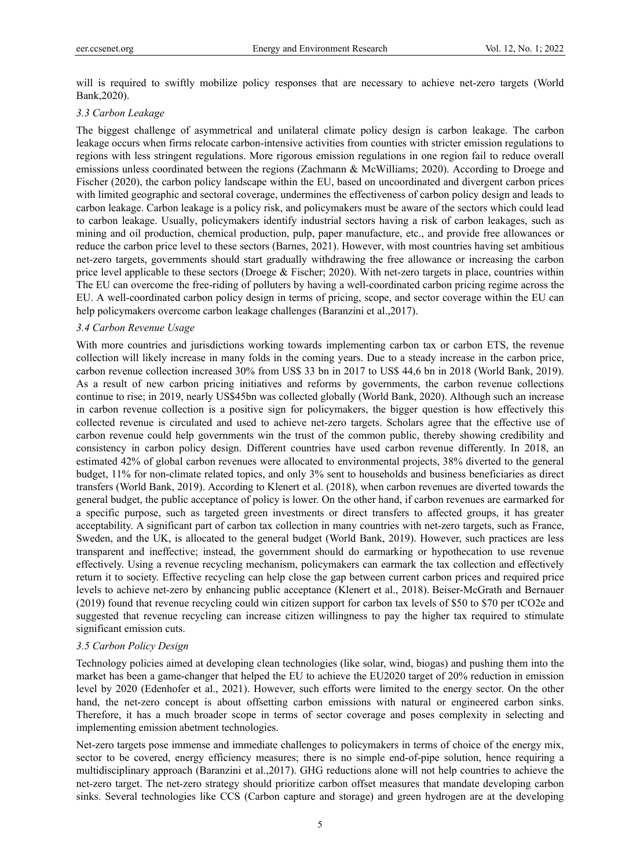will is required to swiftly mobilize policy responses that are necessary to achieve net-zero targets (World Bank,2020).

## *3.3 Carbon Leakage*

The biggest challenge of asymmetrical and unilateral climate policy design is carbon leakage. The carbon leakage occurs when firms relocate carbon-intensive activities from counties with stricter emission regulations to regions with less stringent regulations. More rigorous emission regulations in one region fail to reduce overall emissions unless coordinated between the regions (Zachmann & McWilliams; 2020). According to Droege and Fischer (2020), the carbon policy landscape within the EU, based on uncoordinated and divergent carbon prices with limited geographic and sectoral coverage, undermines the effectiveness of carbon policy design and leads to carbon leakage. Carbon leakage is a policy risk, and policymakers must be aware of the sectors which could lead to carbon leakage. Usually, policymakers identify industrial sectors having a risk of carbon leakages, such as mining and oil production, chemical production, pulp, paper manufacture, etc., and provide free allowances or reduce the carbon price level to these sectors (Barnes, 2021). However, with most countries having set ambitious net-zero targets, governments should start gradually withdrawing the free allowance or increasing the carbon price level applicable to these sectors (Droege  $&$  Fischer; 2020). With net-zero targets in place, countries within The EU can overcome the free-riding of polluters by having a well-coordinated carbon pricing regime across the EU. A well-coordinated carbon policy design in terms of pricing, scope, and sector coverage within the EU can help policymakers overcome carbon leakage challenges (Baranzini et al.,2017).

## *3.4 Carbon Revenue Usage*

With more countries and jurisdictions working towards implementing carbon tax or carbon ETS, the revenue collection will likely increase in many folds in the coming years. Due to a steady increase in the carbon price, carbon revenue collection increased 30% from US\$ 33 bn in 2017 to US\$ 44,6 bn in 2018 (World Bank, 2019). As a result of new carbon pricing initiatives and reforms by governments, the carbon revenue collections continue to rise; in 2019, nearly US\$45bn was collected globally (World Bank, 2020). Although such an increase in carbon revenue collection is a positive sign for policymakers, the bigger question is how effectively this collected revenue is circulated and used to achieve net-zero targets. Scholars agree that the effective use of carbon revenue could help governments win the trust of the common public, thereby showing credibility and consistency in carbon policy design. Different countries have used carbon revenue differently. In 2018, an estimated 42% of global carbon revenues were allocated to environmental projects, 38% diverted to the general budget, 11% for non-climate related topics, and only 3% sent to households and business beneficiaries as direct transfers (World Bank, 2019). According to Klenert et al. (2018), when carbon revenues are diverted towards the general budget, the public acceptance of policy is lower. On the other hand, if carbon revenues are earmarked for a specific purpose, such as targeted green investments or direct transfers to affected groups, it has greater acceptability. A significant part of carbon tax collection in many countries with net-zero targets, such as France, Sweden, and the UK, is allocated to the general budget (World Bank, 2019). However, such practices are less transparent and ineffective; instead, the government should do earmarking or hypothecation to use revenue effectively. Using a revenue recycling mechanism, policymakers can earmark the tax collection and effectively return it to society. Effective recycling can help close the gap between current carbon prices and required price levels to achieve net-zero by enhancing public acceptance (Klenert et al., 2018). Beiser-McGrath and Bernauer (2019) found that revenue recycling could win citizen support for carbon tax levels of \$50 to \$70 per tCO2e and suggested that revenue recycling can increase citizen willingness to pay the higher tax required to stimulate significant emission cuts.

# *3.5 Carbon Policy Design*

Technology policies aimed at developing clean technologies (like solar, wind, biogas) and pushing them into the market has been a game-changer that helped the EU to achieve the EU2020 target of 20% reduction in emission level by 2020 (Edenhofer et al., 2021). However, such efforts were limited to the energy sector. On the other hand, the net-zero concept is about offsetting carbon emissions with natural or engineered carbon sinks. Therefore, it has a much broader scope in terms of sector coverage and poses complexity in selecting and implementing emission abetment technologies.

Net-zero targets pose immense and immediate challenges to policymakers in terms of choice of the energy mix, sector to be covered, energy efficiency measures; there is no simple end-of-pipe solution, hence requiring a multidisciplinary approach (Baranzini et al.,2017). GHG reductions alone will not help countries to achieve the net-zero target. The net-zero strategy should prioritize carbon offset measures that mandate developing carbon sinks. Several technologies like CCS (Carbon capture and storage) and green hydrogen are at the developing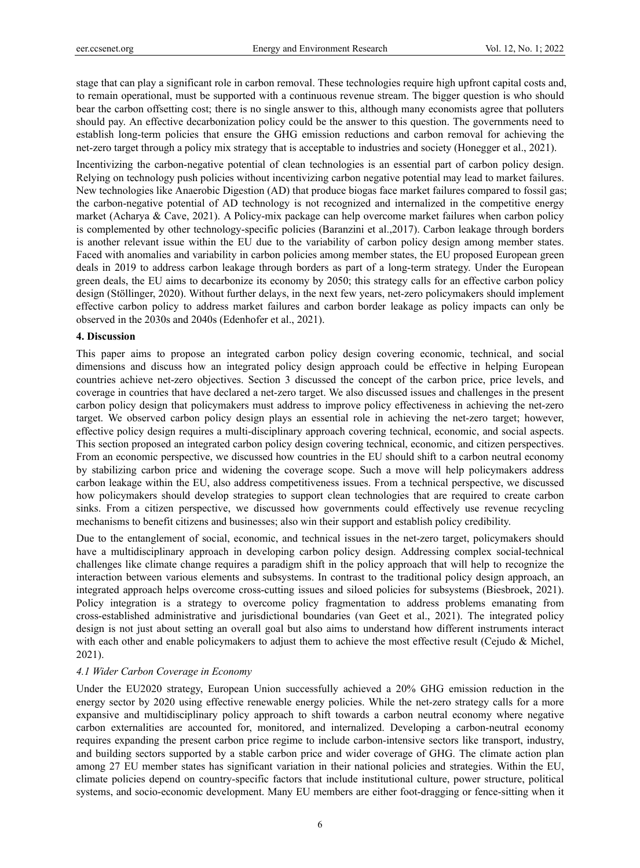stage that can play a significant role in carbon removal. These technologies require high upfront capital costs and, to remain operational, must be supported with a continuous revenue stream. The bigger question is who should bear the carbon offsetting cost; there is no single answer to this, although many economists agree that polluters should pay. An effective decarbonization policy could be the answer to this question. The governments need to establish long-term policies that ensure the GHG emission reductions and carbon removal for achieving the net-zero target through a policy mix strategy that is acceptable to industries and society (Honegger et al., 2021).

Incentivizing the carbon-negative potential of clean technologies is an essential part of carbon policy design. Relying on technology push policies without incentivizing carbon negative potential may lead to market failures. New technologies like Anaerobic Digestion (AD) that produce biogas face market failures compared to fossil gas; the carbon-negative potential of AD technology is not recognized and internalized in the competitive energy market (Acharya & Cave, 2021). A Policy-mix package can help overcome market failures when carbon policy is complemented by other technology-specific policies (Baranzini et al.,2017). Carbon leakage through borders is another relevant issue within the EU due to the variability of carbon policy design among member states. Faced with anomalies and variability in carbon policies among member states, the EU proposed European green deals in 2019 to address carbon leakage through borders as part of a long-term strategy. Under the European green deals, the EU aims to decarbonize its economy by 2050; this strategy calls for an effective carbon policy design (Stöllinger, 2020). Without further delays, in the next few years, net-zero policymakers should implement effective carbon policy to address market failures and carbon border leakage as policy impacts can only be observed in the 2030s and 2040s (Edenhofer et al., 2021).

#### **4. Discussion**

This paper aims to propose an integrated carbon policy design covering economic, technical, and social dimensions and discuss how an integrated policy design approach could be effective in helping European countries achieve net-zero objectives. Section 3 discussed the concept of the carbon price, price levels, and coverage in countries that have declared a net-zero target. We also discussed issues and challenges in the present carbon policy design that policymakers must address to improve policy effectiveness in achieving the net-zero target. We observed carbon policy design plays an essential role in achieving the net-zero target; however, effective policy design requires a multi-disciplinary approach covering technical, economic, and social aspects. This section proposed an integrated carbon policy design covering technical, economic, and citizen perspectives. From an economic perspective, we discussed how countries in the EU should shift to a carbon neutral economy by stabilizing carbon price and widening the coverage scope. Such a move will help policymakers address carbon leakage within the EU, also address competitiveness issues. From a technical perspective, we discussed how policymakers should develop strategies to support clean technologies that are required to create carbon sinks. From a citizen perspective, we discussed how governments could effectively use revenue recycling mechanisms to benefit citizens and businesses; also win their support and establish policy credibility.

Due to the entanglement of social, economic, and technical issues in the net-zero target, policymakers should have a multidisciplinary approach in developing carbon policy design. Addressing complex social-technical challenges like climate change requires a paradigm shift in the policy approach that will help to recognize the interaction between various elements and subsystems. In contrast to the traditional policy design approach, an integrated approach helps overcome cross-cutting issues and siloed policies for subsystems (Biesbroek, 2021). Policy integration is a strategy to overcome policy fragmentation to address problems emanating from cross-established administrative and jurisdictional boundaries (van Geet et al., 2021). The integrated policy design is not just about setting an overall goal but also aims to understand how different instruments interact with each other and enable policymakers to adjust them to achieve the most effective result (Cejudo & Michel, 2021).

#### *4.1 Wider Carbon Coverage in Economy*

Under the EU2020 strategy, European Union successfully achieved a 20% GHG emission reduction in the energy sector by 2020 using effective renewable energy policies. While the net-zero strategy calls for a more expansive and multidisciplinary policy approach to shift towards a carbon neutral economy where negative carbon externalities are accounted for, monitored, and internalized. Developing a carbon-neutral economy requires expanding the present carbon price regime to include carbon-intensive sectors like transport, industry, and building sectors supported by a stable carbon price and wider coverage of GHG. The climate action plan among 27 EU member states has significant variation in their national policies and strategies. Within the EU, climate policies depend on country-specific factors that include institutional culture, power structure, political systems, and socio-economic development. Many EU members are either foot-dragging or fence-sitting when it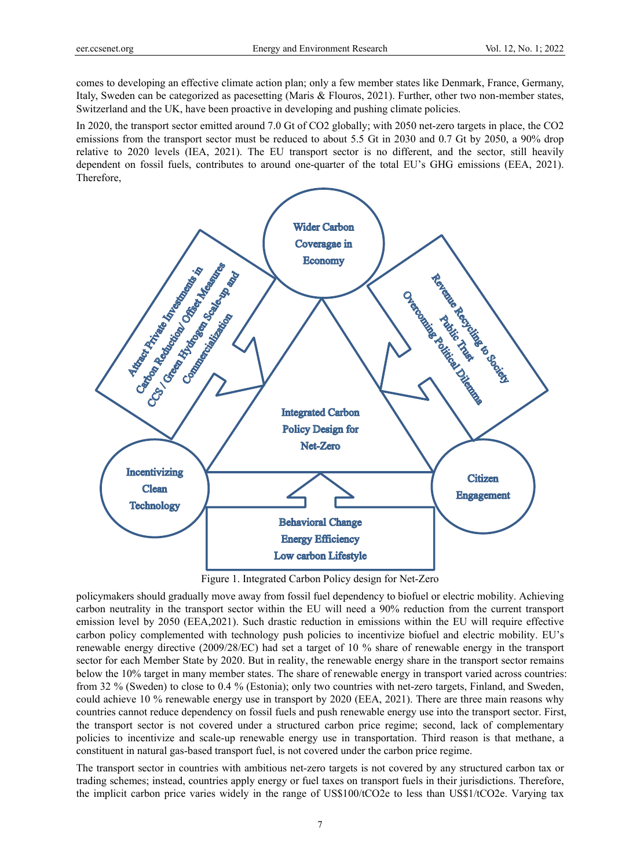comes to developing an effective climate action plan; only a few member states like Denmark, France, Germany, Italy, Sweden can be categorized as pacesetting (Maris & Flouros, 2021). Further, other two non-member states, Switzerland and the UK, have been proactive in developing and pushing climate policies.

In 2020, the transport sector emitted around 7.0 Gt of CO2 globally; with 2050 net-zero targets in place, the CO2 emissions from the transport sector must be reduced to about 5.5 Gt in 2030 and 0.7 Gt by 2050, a 90% drop relative to 2020 levels (IEA, 2021). The EU transport sector is no different, and the sector, still heavily dependent on fossil fuels, contributes to around one-quarter of the total EU's GHG emissions (EEA, 2021). Therefore,



Figure 1. Integrated Carbon Policy design for Net-Zero

policymakers should gradually move away from fossil fuel dependency to biofuel or electric mobility. Achieving carbon neutrality in the transport sector within the EU will need a 90% reduction from the current transport emission level by 2050 (EEA,2021). Such drastic reduction in emissions within the EU will require effective carbon policy complemented with technology push policies to incentivize biofuel and electric mobility. EU's renewable energy directive (2009/28/EC) had set a target of 10 % share of renewable energy in the transport sector for each Member State by 2020. But in reality, the renewable energy share in the transport sector remains below the 10% target in many member states. The share of renewable energy in transport varied across countries: from 32 % (Sweden) to close to 0.4 % (Estonia); only two countries with net-zero targets, Finland, and Sweden, could achieve 10 % renewable energy use in transport by 2020 (EEA, 2021). There are three main reasons why countries cannot reduce dependency on fossil fuels and push renewable energy use into the transport sector. First, the transport sector is not covered under a structured carbon price regime; second, lack of complementary policies to incentivize and scale-up renewable energy use in transportation. Third reason is that methane, a constituent in natural gas-based transport fuel, is not covered under the carbon price regime.

The transport sector in countries with ambitious net-zero targets is not covered by any structured carbon tax or trading schemes; instead, countries apply energy or fuel taxes on transport fuels in their jurisdictions. Therefore, the implicit carbon price varies widely in the range of US\$100/tCO2e to less than US\$1/tCO2e. Varying tax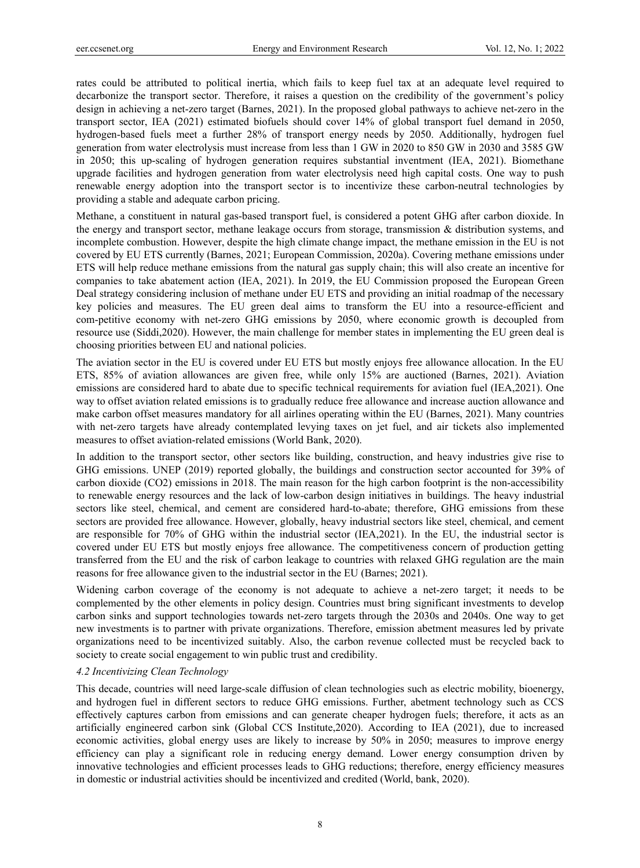rates could be attributed to political inertia, which fails to keep fuel tax at an adequate level required to decarbonize the transport sector. Therefore, it raises a question on the credibility of the government's policy design in achieving a net-zero target (Barnes, 2021). In the proposed global pathways to achieve net-zero in the transport sector, IEA (2021) estimated biofuels should cover 14% of global transport fuel demand in 2050, hydrogen-based fuels meet a further 28% of transport energy needs by 2050. Additionally, hydrogen fuel generation from water electrolysis must increase from less than 1 GW in 2020 to 850 GW in 2030 and 3585 GW in 2050; this up-scaling of hydrogen generation requires substantial inventment (IEA, 2021). Biomethane upgrade facilities and hydrogen generation from water electrolysis need high capital costs. One way to push renewable energy adoption into the transport sector is to incentivize these carbon-neutral technologies by providing a stable and adequate carbon pricing.

Methane, a constituent in natural gas-based transport fuel, is considered a potent GHG after carbon dioxide. In the energy and transport sector, methane leakage occurs from storage, transmission & distribution systems, and incomplete combustion. However, despite the high climate change impact, the methane emission in the EU is not covered by EU ETS currently (Barnes, 2021; European Commission, 2020a). Covering methane emissions under ETS will help reduce methane emissions from the natural gas supply chain; this will also create an incentive for companies to take abatement action (IEA, 2021). In 2019, the EU Commission proposed the European Green Deal strategy considering inclusion of methane under EU ETS and providing an initial roadmap of the necessary key policies and measures. The EU green deal aims to transform the EU into a resource-efficient and com-petitive economy with net-zero GHG emissions by 2050, where economic growth is decoupled from resource use (Siddi,2020). However, the main challenge for member states in implementing the EU green deal is choosing priorities between EU and national policies.

The aviation sector in the EU is covered under EU ETS but mostly enjoys free allowance allocation. In the EU ETS, 85% of aviation allowances are given free, while only 15% are auctioned (Barnes, 2021). Aviation emissions are considered hard to abate due to specific technical requirements for aviation fuel (IEA,2021). One way to offset aviation related emissions is to gradually reduce free allowance and increase auction allowance and make carbon offset measures mandatory for all airlines operating within the EU (Barnes, 2021). Many countries with net-zero targets have already contemplated levying taxes on jet fuel, and air tickets also implemented measures to offset aviation-related emissions (World Bank, 2020).

In addition to the transport sector, other sectors like building, construction, and heavy industries give rise to GHG emissions. UNEP (2019) reported globally, the buildings and construction sector accounted for 39% of carbon dioxide (CO2) emissions in 2018. The main reason for the high carbon footprint is the non-accessibility to renewable energy resources and the lack of low-carbon design initiatives in buildings. The heavy industrial sectors like steel, chemical, and cement are considered hard-to-abate; therefore, GHG emissions from these sectors are provided free allowance. However, globally, heavy industrial sectors like steel, chemical, and cement are responsible for 70% of GHG within the industrial sector (IEA,2021). In the EU, the industrial sector is covered under EU ETS but mostly enjoys free allowance. The competitiveness concern of production getting transferred from the EU and the risk of carbon leakage to countries with relaxed GHG regulation are the main reasons for free allowance given to the industrial sector in the EU (Barnes; 2021).

Widening carbon coverage of the economy is not adequate to achieve a net-zero target; it needs to be complemented by the other elements in policy design. Countries must bring significant investments to develop carbon sinks and support technologies towards net-zero targets through the 2030s and 2040s. One way to get new investments is to partner with private organizations. Therefore, emission abetment measures led by private organizations need to be incentivized suitably. Also, the carbon revenue collected must be recycled back to society to create social engagement to win public trust and credibility.

# *4.2 Incentivizing Clean Technology*

This decade, countries will need large-scale diffusion of clean technologies such as electric mobility, bioenergy, and hydrogen fuel in different sectors to reduce GHG emissions. Further, abetment technology such as CCS effectively captures carbon from emissions and can generate cheaper hydrogen fuels; therefore, it acts as an artificially engineered carbon sink (Global CCS Institute,2020). According to IEA (2021), due to increased economic activities, global energy uses are likely to increase by 50% in 2050; measures to improve energy efficiency can play a significant role in reducing energy demand. Lower energy consumption driven by innovative technologies and efficient processes leads to GHG reductions; therefore, energy efficiency measures in domestic or industrial activities should be incentivized and credited (World, bank, 2020).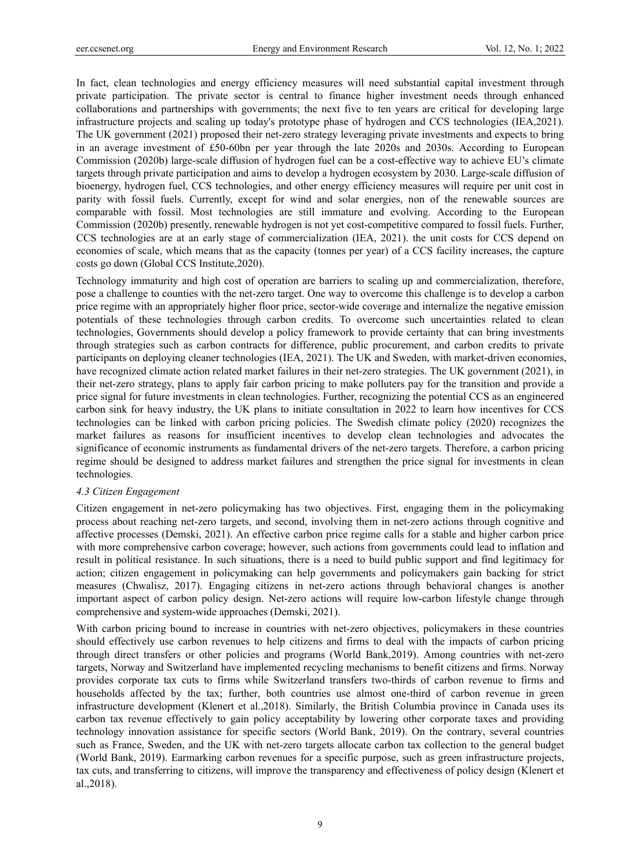In fact, clean technologies and energy efficiency measures will need substantial capital investment through private participation. The private sector is central to finance higher investment needs through enhanced collaborations and partnerships with governments; the next five to ten years are critical for developing large infrastructure projects and scaling up today's prototype phase of hydrogen and CCS technologies (IEA,2021). The UK government (2021) proposed their net-zero strategy leveraging private investments and expects to bring in an average investment of £50-60bn per year through the late 2020s and 2030s. According to European Commission (2020b) large-scale diffusion of hydrogen fuel can be a cost-effective way to achieve EU's climate targets through private participation and aims to develop a hydrogen ecosystem by 2030. Large-scale diffusion of bioenergy, hydrogen fuel, CCS technologies, and other energy efficiency measures will require per unit cost in parity with fossil fuels. Currently, except for wind and solar energies, non of the renewable sources are comparable with fossil. Most technologies are still immature and evolving. According to the European Commission (2020b) presently, renewable hydrogen is not yet cost-competitive compared to fossil fuels. Further, CCS technologies are at an early stage of commercialization (IEA, 2021). the unit costs for CCS depend on economies of scale, which means that as the capacity (tonnes per year) of a CCS facility increases, the capture costs go down (Global CCS Institute,2020).

Technology immaturity and high cost of operation are barriers to scaling up and commercialization, therefore, pose a challenge to counties with the net-zero target. One way to overcome this challenge is to develop a carbon price regime with an appropriately higher floor price, sector-wide coverage and internalize the negative emission potentials of these technologies through carbon credits. To overcome such uncertainties related to clean technologies, Governments should develop a policy framework to provide certainty that can bring investments through strategies such as carbon contracts for difference, public procurement, and carbon credits to private participants on deploying cleaner technologies (IEA, 2021). The UK and Sweden, with market-driven economies, have recognized climate action related market failures in their net-zero strategies. The UK government (2021), in their net-zero strategy, plans to apply fair carbon pricing to make polluters pay for the transition and provide a price signal for future investments in clean technologies. Further, recognizing the potential CCS as an engineered carbon sink for heavy industry, the UK plans to initiate consultation in 2022 to learn how incentives for CCS technologies can be linked with carbon pricing policies. The Swedish climate policy (2020) recognizes the market failures as reasons for insufficient incentives to develop clean technologies and advocates the significance of economic instruments as fundamental drivers of the net-zero targets. Therefore, a carbon pricing regime should be designed to address market failures and strengthen the price signal for investments in clean technologies.

# *4.3 Citizen Engagement*

Citizen engagement in net-zero policymaking has two objectives. First, engaging them in the policymaking process about reaching net-zero targets, and second, involving them in net-zero actions through cognitive and affective processes (Demski, 2021). An effective carbon price regime calls for a stable and higher carbon price with more comprehensive carbon coverage; however, such actions from governments could lead to inflation and result in political resistance. In such situations, there is a need to build public support and find legitimacy for action; citizen engagement in policymaking can help governments and policymakers gain backing for strict measures (Chwalisz, 2017). Engaging citizens in net-zero actions through behavioral changes is another important aspect of carbon policy design. Net-zero actions will require low-carbon lifestyle change through comprehensive and system-wide approaches (Demski, 2021).

With carbon pricing bound to increase in countries with net-zero objectives, policymakers in these countries should effectively use carbon revenues to help citizens and firms to deal with the impacts of carbon pricing through direct transfers or other policies and programs (World Bank,2019). Among countries with net-zero targets, Norway and Switzerland have implemented recycling mechanisms to benefit citizens and firms. Norway provides corporate tax cuts to firms while Switzerland transfers two-thirds of carbon revenue to firms and households affected by the tax; further, both countries use almost one-third of carbon revenue in green infrastructure development (Klenert et al.,2018). Similarly, the British Columbia province in Canada uses its carbon tax revenue effectively to gain policy acceptability by lowering other corporate taxes and providing technology innovation assistance for specific sectors (World Bank, 2019). On the contrary, several countries such as France, Sweden, and the UK with net-zero targets allocate carbon tax collection to the general budget (World Bank, 2019). Earmarking carbon revenues for a specific purpose, such as green infrastructure projects, tax cuts, and transferring to citizens, will improve the transparency and effectiveness of policy design (Klenert et al.,2018).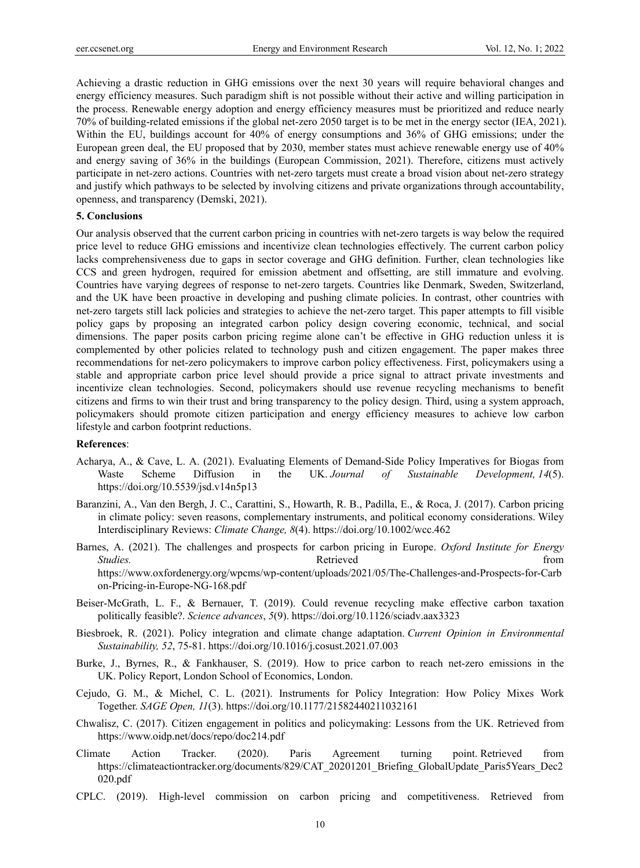Achieving a drastic reduction in GHG emissions over the next 30 years will require behavioral changes and energy efficiency measures. Such paradigm shift is not possible without their active and willing participation in the process. Renewable energy adoption and energy efficiency measures must be prioritized and reduce nearly 70% of building-related emissions if the global net-zero 2050 target is to be met in the energy sector (IEA, 2021). Within the EU, buildings account for 40% of energy consumptions and 36% of GHG emissions; under the European green deal, the EU proposed that by 2030, member states must achieve renewable energy use of 40% and energy saving of 36% in the buildings (European Commission, 2021). Therefore, citizens must actively participate in net-zero actions. Countries with net-zero targets must create a broad vision about net-zero strategy and justify which pathways to be selected by involving citizens and private organizations through accountability, openness, and transparency (Demski, 2021).

#### **5. Conclusions**

Our analysis observed that the current carbon pricing in countries with net-zero targets is way below the required price level to reduce GHG emissions and incentivize clean technologies effectively. The current carbon policy lacks comprehensiveness due to gaps in sector coverage and GHG definition. Further, clean technologies like CCS and green hydrogen, required for emission abetment and offsetting, are still immature and evolving. Countries have varying degrees of response to net-zero targets. Countries like Denmark, Sweden, Switzerland, and the UK have been proactive in developing and pushing climate policies. In contrast, other countries with net-zero targets still lack policies and strategies to achieve the net-zero target. This paper attempts to fill visible policy gaps by proposing an integrated carbon policy design covering economic, technical, and social dimensions. The paper posits carbon pricing regime alone can't be effective in GHG reduction unless it is complemented by other policies related to technology push and citizen engagement. The paper makes three recommendations for net-zero policymakers to improve carbon policy effectiveness. First, policymakers using a stable and appropriate carbon price level should provide a price signal to attract private investments and incentivize clean technologies. Second, policymakers should use revenue recycling mechanisms to benefit citizens and firms to win their trust and bring transparency to the policy design. Third, using a system approach, policymakers should promote citizen participation and energy efficiency measures to achieve low carbon lifestyle and carbon footprint reductions.

#### **References**:

- Acharya, A., & Cave, L. A. (2021). Evaluating Elements of Demand-Side Policy Imperatives for Biogas from Waste Scheme Diffusion in the UK. *Journal of Sustainable Development, 14*(5). https://doi.org/10.5539/jsd.v14n5p13
- Baranzini, A., Van den Bergh, J. C., Carattini, S., Howarth, R. B., Padilla, E., & Roca, J. (2017). Carbon pricing in climate policy: seven reasons, complementary instruments, and political economy considerations. Wiley Interdisciplinary Reviews: *Climate Change, 8*(4). https://doi.org/10.1002/wcc.462
- Barnes, A. (2021). The challenges and prospects for carbon pricing in Europe. *Oxford Institute for Energy Studies.* **Retrieved contains the studies contains a studies from h studies from** https://www.oxfordenergy.org/wpcms/wp-content/uploads/2021/05/The-Challenges-and-Prospects-for-Carb on-Pricing-in-Europe-NG-168.pdf
- Beiser-McGrath, L. F., & Bernauer, T. (2019). Could revenue recycling make effective carbon taxation politically feasible?. *Science advances*, *5*(9). https://doi.org/10.1126/sciadv.aax3323
- Biesbroek, R. (2021). Policy integration and climate change adaptation. *Current Opinion in Environmental Sustainability, 52*, 75-81. https://doi.org/10.1016/j.cosust.2021.07.003
- Burke, J., Byrnes, R., & Fankhauser, S. (2019). How to price carbon to reach net-zero emissions in the UK. Policy Report, London School of Economics, London.
- Cejudo, G. M., & Michel, C. L. (2021). Instruments for Policy Integration: How Policy Mixes Work Together. *SAGE Open, 11*(3). https://doi.org/10.1177/21582440211032161
- Chwalisz, C. (2017). Citizen engagement in politics and policymaking: Lessons from the UK. Retrieved from https://www.oidp.net/docs/repo/doc214.pdf
- Climate Action Tracker. (2020). Paris Agreement turning point. Retrieved from https://climateactiontracker.org/documents/829/CAT\_20201201\_Briefing\_GlobalUpdate\_Paris5Years\_Dec2 020.pdf
- CPLC. (2019). High-level commission on carbon pricing and competitiveness. Retrieved from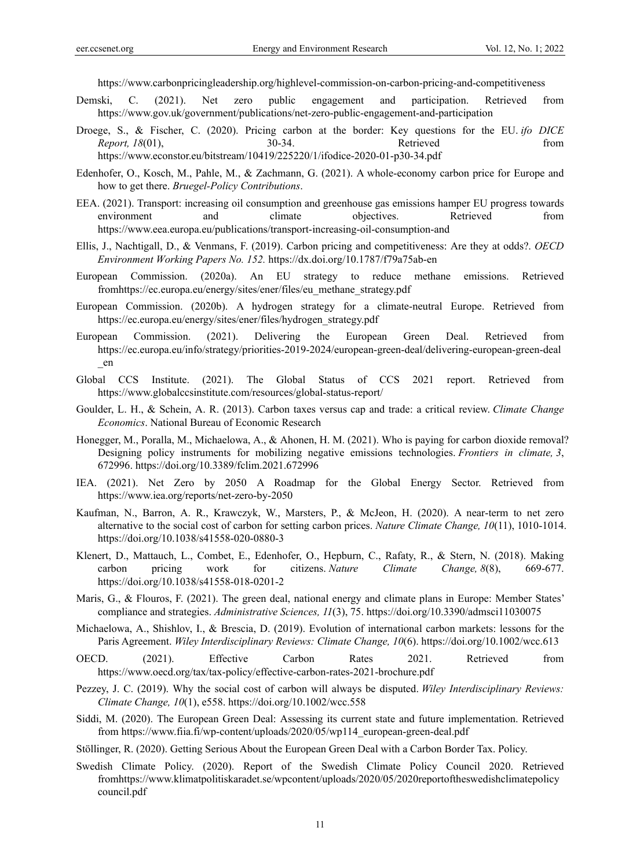https://www.carbonpricingleadership.org/highlevel-commission-on-carbon-pricing-and-competitiveness

- Demski, C. (2021). Net zero public engagement and participation. Retrieved from https://www.gov.uk/government/publications/net-zero-public-engagement-and-participation
- Droege, S., & Fischer, C. (2020). Pricing carbon at the border: Key questions for the EU. *ifo DICE Report, 18*(01), 30-34. Retrieved from https://www.econstor.eu/bitstream/10419/225220/1/ifodice-2020-01-p30-34.pdf
- Edenhofer, O., Kosch, M., Pahle, M., & Zachmann, G. (2021). A whole-economy carbon price for Europe and how to get there. *Bruegel-Policy Contributions*.
- EEA. (2021). Transport: increasing oil consumption and greenhouse gas emissions hamper EU progress towards environment and climate objectives. Retrieved from https://www.eea.europa.eu/publications/transport-increasing-oil-consumption-and
- Ellis, J., Nachtigall, D., & Venmans, F. (2019). Carbon pricing and competitiveness: Are they at odds?. *OECD Environment Working Papers No. 152.* https://dx.doi.org/10.1787/f79a75ab-en
- European Commission. (2020a). An EU strategy to reduce methane emissions. Retrieved fromhttps://ec.europa.eu/energy/sites/ener/files/eu\_methane\_strategy.pdf
- European Commission. (2020b). A hydrogen strategy for a climate-neutral Europe. Retrieved from https://ec.europa.eu/energy/sites/ener/files/hydrogen\_strategy.pdf
- European Commission. (2021). Delivering the European Green Deal. Retrieved from https://ec.europa.eu/info/strategy/priorities-2019-2024/european-green-deal/delivering-european-green-deal \_en
- Global CCS Institute. (2021). The Global Status of CCS 2021 report. Retrieved from https://www.globalccsinstitute.com/resources/global-status-report/
- Goulder, L. H., & Schein, A. R. (2013). Carbon taxes versus cap and trade: a critical review. *Climate Change Economics*. National Bureau of Economic Research
- Honegger, M., Poralla, M., Michaelowa, A., & Ahonen, H. M. (2021). Who is paying for carbon dioxide removal? Designing policy instruments for mobilizing negative emissions technologies. *Frontiers in climate, 3*, 672996. https://doi.org/10.3389/fclim.2021.672996
- IEA. (2021). Net Zero by 2050 A Roadmap for the Global Energy Sector. Retrieved from https://www.iea.org/reports/net-zero-by-2050
- Kaufman, N., Barron, A. R., Krawczyk, W., Marsters, P., & McJeon, H. (2020). A near-term to net zero alternative to the social cost of carbon for setting carbon prices. *Nature Climate Change, 10*(11), 1010-1014. https://doi.org/10.1038/s41558-020-0880-3
- Klenert, D., Mattauch, L., Combet, E., Edenhofer, O., Hepburn, C., Rafaty, R., & Stern, N. (2018). Making carbon pricing work for citizens. *Nature Climate Change, 8*(8), 669-677. https://doi.org/10.1038/s41558-018-0201-2
- Maris, G., & Flouros, F. (2021). The green deal, national energy and climate plans in Europe: Member States' compliance and strategies. *Administrative Sciences, 11*(3), 75. https://doi.org/10.3390/admsci11030075
- Michaelowa, A., Shishlov, I., & Brescia, D. (2019). Evolution of international carbon markets: lessons for the Paris Agreement. *Wiley Interdisciplinary Reviews: Climate Change, 10*(6). https://doi.org/10.1002/wcc.613
- OECD. (2021). Effective Carbon Rates 2021. Retrieved from https://www.oecd.org/tax/tax-policy/effective-carbon-rates-2021-brochure.pdf
- Pezzey, J. C. (2019). Why the social cost of carbon will always be disputed. *Wiley Interdisciplinary Reviews: Climate Change, 10*(1), e558. https://doi.org/10.1002/wcc.558
- Siddi, M. (2020). The European Green Deal: Assessing its current state and future implementation. Retrieved from https://www.fiia.fi/wp-content/uploads/2020/05/wp114\_european-green-deal.pdf

Stöllinger, R. (2020). Getting Serious About the European Green Deal with a Carbon Border Tax. Policy.

Swedish Climate Policy. (2020). Report of the Swedish Climate Policy Council 2020. Retrieved fromhttps://www.klimatpolitiskaradet.se/wpcontent/uploads/2020/05/2020reportoftheswedishclimatepolicy council.pdf